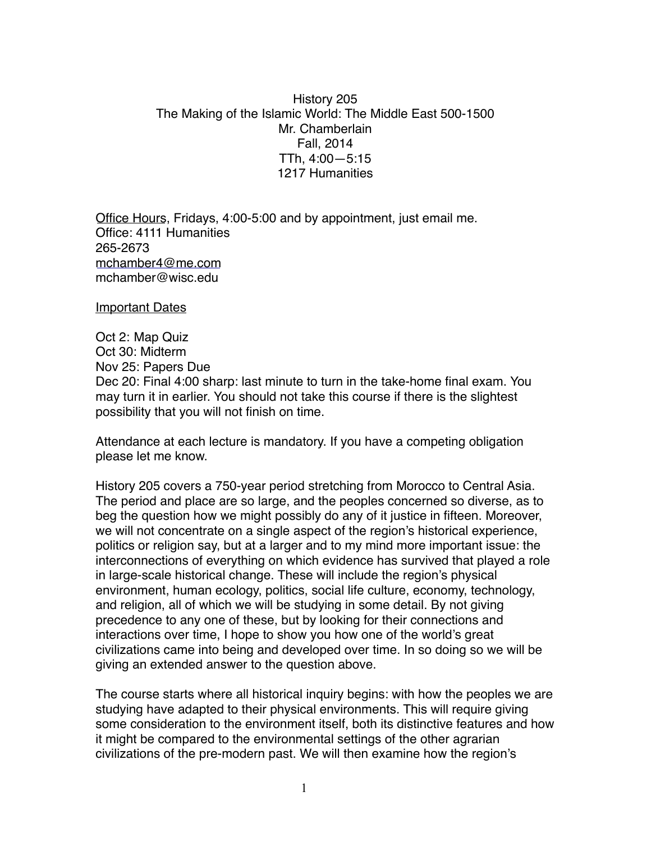## History 205 The Making of the Islamic World: The Middle East 500-1500 Mr. Chamberlain Fall, 2014 TTh, 4:00—5:15 1217 Humanities

Office Hours, Fridays, 4:00-5:00 and by appointment, just email me. Office: 4111 Humanities 265-2673 [mchamber4@me.com](mailto:mchamber4@me.com) mchamber@wisc.edu

Important Dates

Oct 2: Map Quiz Oct 30: Midterm Nov 25: Papers Due Dec 20: Final 4:00 sharp: last minute to turn in the take-home final exam. You may turn it in earlier. You should not take this course if there is the slightest possibility that you will not finish on time.

Attendance at each lecture is mandatory. If you have a competing obligation please let me know.

History 205 covers a 750-year period stretching from Morocco to Central Asia. The period and place are so large, and the peoples concerned so diverse, as to beg the question how we might possibly do any of it justice in fifteen. Moreover, we will not concentrate on a single aspect of the region's historical experience, politics or religion say, but at a larger and to my mind more important issue: the interconnections of everything on which evidence has survived that played a role in large-scale historical change. These will include the region's physical environment, human ecology, politics, social life culture, economy, technology, and religion, all of which we will be studying in some detail. By not giving precedence to any one of these, but by looking for their connections and interactions over time, I hope to show you how one of the world's great civilizations came into being and developed over time. In so doing so we will be giving an extended answer to the question above.

The course starts where all historical inquiry begins: with how the peoples we are studying have adapted to their physical environments. This will require giving some consideration to the environment itself, both its distinctive features and how it might be compared to the environmental settings of the other agrarian civilizations of the pre-modern past. We will then examine how the region's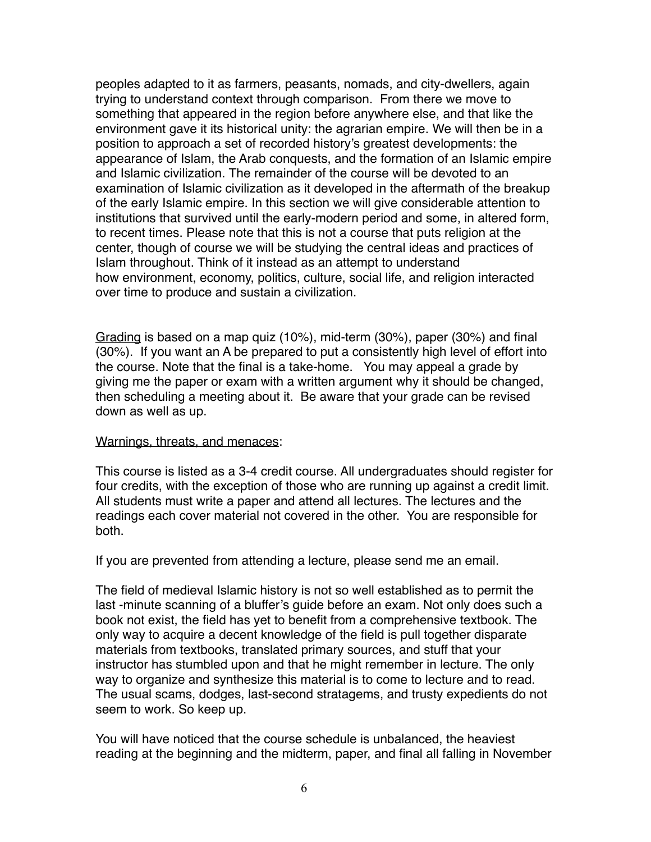peoples adapted to it as farmers, peasants, nomads, and city-dwellers, again trying to understand context through comparison. From there we move to something that appeared in the region before anywhere else, and that like the environment gave it its historical unity: the agrarian empire. We will then be in a position to approach a set of recorded history's greatest developments: the appearance of Islam, the Arab conquests, and the formation of an Islamic empire and Islamic civilization. The remainder of the course will be devoted to an examination of Islamic civilization as it developed in the aftermath of the breakup of the early Islamic empire. In this section we will give considerable attention to institutions that survived until the early-modern period and some, in altered form, to recent times. Please note that this is not a course that puts religion at the center, though of course we will be studying the central ideas and practices of Islam throughout. Think of it instead as an attempt to understand how environment, economy, politics, culture, social life, and religion interacted over time to produce and sustain a civilization.

Grading is based on a map quiz (10%), mid-term (30%), paper (30%) and final (30%). If you want an A be prepared to put a consistently high level of effort into the course. Note that the final is a take-home. You may appeal a grade by giving me the paper or exam with a written argument why it should be changed, then scheduling a meeting about it. Be aware that your grade can be revised down as well as up.

### Warnings, threats, and menaces:

This course is listed as a 3-4 credit course. All undergraduates should register for four credits, with the exception of those who are running up against a credit limit. All students must write a paper and attend all lectures. The lectures and the readings each cover material not covered in the other. You are responsible for both.

If you are prevented from attending a lecture, please send me an email.

The field of medieval Islamic history is not so well established as to permit the last -minute scanning of a bluffer's guide before an exam. Not only does such a book not exist, the field has yet to benefit from a comprehensive textbook. The only way to acquire a decent knowledge of the field is pull together disparate materials from textbooks, translated primary sources, and stuff that your instructor has stumbled upon and that he might remember in lecture. The only way to organize and synthesize this material is to come to lecture and to read. The usual scams, dodges, last-second stratagems, and trusty expedients do not seem to work. So keep up.

You will have noticed that the course schedule is unbalanced, the heaviest reading at the beginning and the midterm, paper, and final all falling in November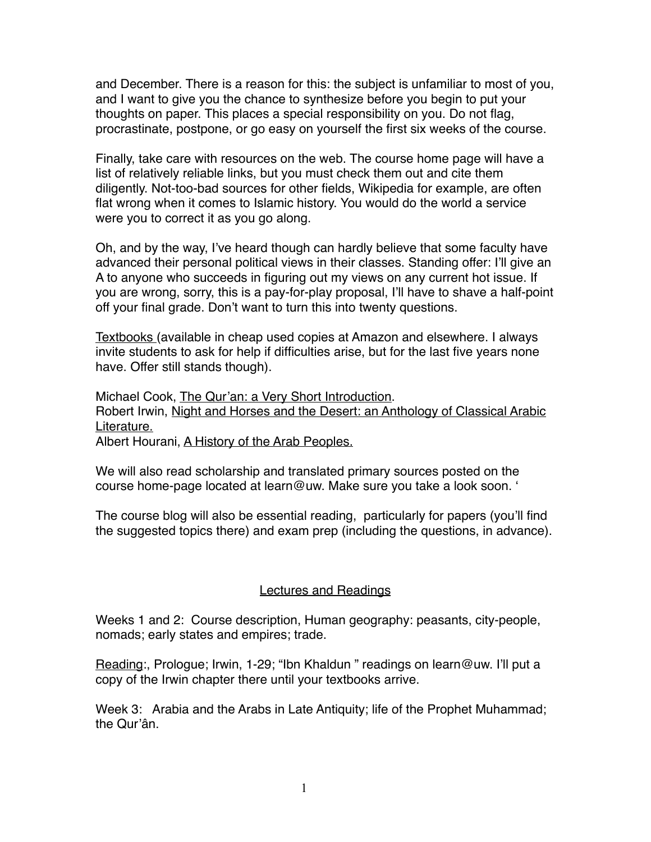and December. There is a reason for this: the subject is unfamiliar to most of you, and I want to give you the chance to synthesize before you begin to put your thoughts on paper. This places a special responsibility on you. Do not flag, procrastinate, postpone, or go easy on yourself the first six weeks of the course.

Finally, take care with resources on the web. The course home page will have a list of relatively reliable links, but you must check them out and cite them diligently. Not-too-bad sources for other fields, Wikipedia for example, are often flat wrong when it comes to Islamic history. You would do the world a service were you to correct it as you go along.

Oh, and by the way, I've heard though can hardly believe that some faculty have advanced their personal political views in their classes. Standing offer: I'll give an A to anyone who succeeds in figuring out my views on any current hot issue. If you are wrong, sorry, this is a pay-for-play proposal, I'll have to shave a half-point off your final grade. Don't want to turn this into twenty questions.

Textbooks (available in cheap used copies at Amazon and elsewhere. I always invite students to ask for help if difficulties arise, but for the last five years none have. Offer still stands though).

Michael Cook, The Qur'an: a Very Short Introduction.

Robert Irwin, Night and Horses and the Desert: an Anthology of Classical Arabic Literature.

Albert Hourani, A History of the Arab Peoples.

We will also read scholarship and translated primary sources posted on the course home-page located at learn@uw. Make sure you take a look soon. '

The course blog will also be essential reading, particularly for papers (you'll find the suggested topics there) and exam prep (including the questions, in advance).

# Lectures and Readings

Weeks 1 and 2: Course description, Human geography: peasants, city-people, nomads; early states and empires; trade.

Reading:, Prologue; Irwin, 1-29; "Ibn Khaldun " readings on learn@uw. I'll put a copy of the Irwin chapter there until your textbooks arrive.

Week 3: Arabia and the Arabs in Late Antiquity; life of the Prophet Muhammad; the Qur'ân.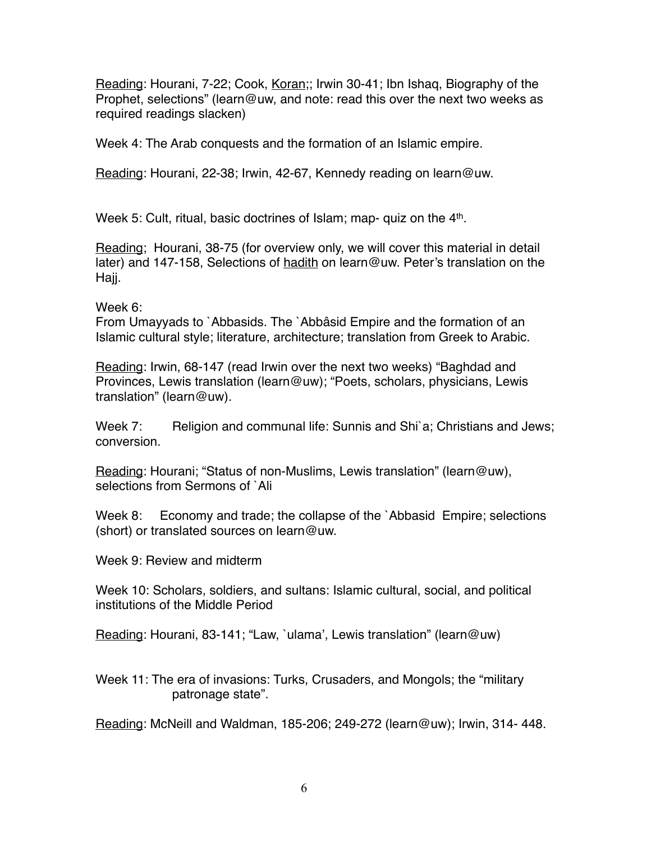Reading: Hourani, 7-22; Cook, Koran;; Irwin 30-41; Ibn Ishaq, Biography of the Prophet, selections" (learn@uw, and note: read this over the next two weeks as required readings slacken)

Week 4: The Arab conquests and the formation of an Islamic empire.

Reading: Hourani, 22-38; Irwin, 42-67, Kennedy reading on learn@uw.

Week 5: Cult, ritual, basic doctrines of Islam; map- quiz on the 4<sup>th</sup>.

Reading; Hourani, 38-75 (for overview only, we will cover this material in detail later) and 147-158, Selections of hadith on learn@uw. Peter's translation on the Hajj.

### Week 6:

From Umayyads to `Abbasids. The `Abbâsid Empire and the formation of an Islamic cultural style; literature, architecture; translation from Greek to Arabic.

Reading: Irwin, 68-147 (read Irwin over the next two weeks) "Baghdad and Provinces, Lewis translation (learn@uw); "Poets, scholars, physicians, Lewis translation" (learn@uw).

Week 7: Religion and communal life: Sunnis and Shi`a; Christians and Jews; conversion.

Reading: Hourani; "Status of non-Muslims, Lewis translation" (learn@uw), selections from Sermons of `Ali

Week 8: Economy and trade; the collapse of the `Abbasid Empire; selections (short) or translated sources on learn@uw.

Week 9: Review and midterm

Week 10: Scholars, soldiers, and sultans: Islamic cultural, social, and political institutions of the Middle Period

Reading: Hourani, 83-141; "Law, `ulama', Lewis translation" (learn@uw)

Week 11: The era of invasions: Turks, Crusaders, and Mongols; the "military patronage state".

Reading: McNeill and Waldman, 185-206; 249-272 (learn@uw); Irwin, 314- 448.